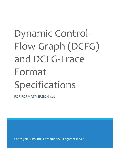# Dynamic Control-Flow Graph (DCFG) and DCFG-Trace Format Specifications

FOR FORMAT VERSION 1.00

Copyright© 2015 Intel Corporation. All rights reserved.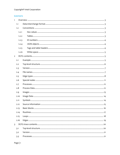#### Copyright<sup>®</sup> Intel Corporation

#### **CONTENTS**

| $\mathbf{1}$   |       |  |
|----------------|-------|--|
|                | 1.1   |  |
|                | 1.2   |  |
|                | 1.2.1 |  |
|                | 1.2.2 |  |
|                | 1.2.3 |  |
|                | 1.2.4 |  |
|                | 1.2.5 |  |
|                | 1.2.6 |  |
| $\overline{2}$ |       |  |
|                | 2.1   |  |
|                | 2.2   |  |
|                | 2.3   |  |
|                | 2.4   |  |
|                | 2.5   |  |
|                | 2.6   |  |
|                | 2.7   |  |
|                | 2.8   |  |
|                | 2.9   |  |
|                | 2.10  |  |
|                | 2.11  |  |
|                | 2.12  |  |
|                | 2.13  |  |
|                | 2.14  |  |
|                | 2.15  |  |
|                | 2.16  |  |
| $\overline{3}$ |       |  |
|                | 3.1   |  |
|                | 3.2   |  |
|                | 3.3   |  |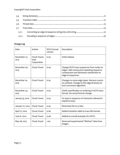| 3.4   |  |  |
|-------|--|--|
| 3.5   |  |  |
| 3.6   |  |  |
| 3.7   |  |  |
| 3.7.1 |  |  |
| 3.7.2 |  |  |

#### **Change Log**

| Date                 | Author                               | <b>DCFG</b> format<br>version | Description                                                                                                                                                |
|----------------------|--------------------------------------|-------------------------------|------------------------------------------------------------------------------------------------------------------------------------------------------------|
| November 27,<br>2013 | Chuck Yount,<br>Intel<br>Corporation | 0.03                          | Initial release.                                                                                                                                           |
| November 30,<br>2013 | Chuck Yount                          | 0.04                          | Change DCFG-trace sequences from nodes to<br>edges. Add consecutive repeating-sequence<br>compression and dictionary substitution to<br>edge-id sequences. |
| December 10,<br>2013 | Chuck Yount                          | 0.05                          | Changes to some edge types. Remove counts<br>on symbols. Change to the edge-id binary-to-<br>text conversion algorithm.                                    |
| December 24,<br>2013 | Chuck Yount                          | 0.05                          | Clarify specification on ordering in DCFG trace<br>format. No actual format change.                                                                        |
| January 9, 2014      | Chuck Yount                          | 0.05                          | Fix typo in sequence of characters allowed in<br>sequence keys.                                                                                            |
| January 17, 2014     | Chuck Yount                          | 0.05                          | Restricted IDs to 31 bits.                                                                                                                                 |
| April 17, 2014       | Chuck Yount                          | 0.06                          | Added transition table to trace file format.                                                                                                               |
| June 6, 2014         | Chuck Yount                          | 0.06                          | Added an overall example of a DCFG.                                                                                                                        |
| May 28, 2015         | Chuck Yount                          | 1.00                          | Removed experimental "lifetime" data from<br>images.                                                                                                       |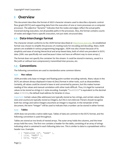# <span id="page-3-0"></span>**1 Overview**

This document describes the format of ASCII character streams used to describe a dynamic controlflow graph (DCFG) and supporting data from the execution of one or more processes on a computer processor. The adjective "dynamic" indicates that the nodes and edges reflect the actual paths traversed during execution, not all possible paths in the processes. Also, the format contains counts of nodes and edges from a specific execution, not just static structural data.

# <span id="page-3-1"></span>**1.1 Data-interchange format**

The character stream conforms to the JSON format described at [http://www.json.org.](http://www.json.org/) An established format was chosen to simplify the process of creating tools for encoding and decoding. Many JSON parsers are available in various programming languages. JSON was also chosen because of its simplicity and ease of storing hierarchical and array-based data, both of which are prevalent in DCFG data. (XML was specifically not used because it does not have an efficient way to store arrays.)

The format does not specify the container for the stream. It could be stored in memory, saved in a file (with or without text-compression), transmitted inter-process, etc.

# <span id="page-3-2"></span>**1.2 Conventions**

The following conventions are used to standardize some common idioms:

#### <span id="page-3-3"></span>**1.2.1 Hex values**

JSON provides only base-10 integer and floating-point number encoding natively. Many values in the DCFG are almost always displayed in base-16 (hex) format in other tools, such as disassemblers. Certainly, all values could be stored in base-10 and converted by parsers, but this makes humanreading of the values and manual correlation with other tools difficult. Thus, it is legal for numerical values to be stored as strings in C-style encoding. Example: "0x400000" is equivalent to the decimal value 4194304, the default load address for binaries in Linux.

*Important:* Certain values (like addresses) are typically stored as hex strings, and certain values (like sizes and counts) are typically stored as integers, *but this is not enforced*. Parsers should recognize both hex strings and native integers anywhere an integer is required. In the remainder of this document, the term "integer" will be used to indicate that a number can be stored in either format.

#### <span id="page-3-4"></span>**1.2.2 Tables**

JSON does not provide a native table type. Tables of data are common in the DCFG format, and the following convention is used throughout.

Tables are stored as two levels of nested arrays. The outer array holds the columns, and the inner arrays hold the rows. The first row contains a header for the table, consisting of an array of strings indicating what is contained in each following data row. This is similar to data in a spreadsheet with a header row. Example:

```
[ [ "EMPLOYEE ID", "NAME" ],
   [ 1234, "MARY" ],
   [ 5678, "BOB" ],
```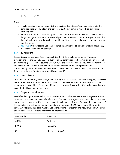```
 [ 9874, "IGOR" ]
]
```
Notes:

- o An element in a table can be any JSON value, including objects (key-value pairs) and other arrays and tables. This allows arbitrary construction of complex hierarchical structures including tables.
- $\circ$  Some values in some tables are optional, so the data arrays do not all have to be the same length. Any given row must consist of all provided values in a continuous sequence from the beginning. In other words, a value cannot be omitted and then followed on the same row by another value.
- o *Important:* When reading, use the header to determine the column of particular data items, not the absolute column position.

#### <span id="page-4-0"></span>**1.2.3 ID numbers**

Integer ids are numbers assigned to uniquely identify different elements in a set. They range between one (1) and  $0 \times 7$  f f f f f f inclusive, unless otherwise noted. Negative numbers, zero (0) and numbers greater than or equal to  $0 \times 800000000$  are reserved. Parsers should always read the ids and never assume values. In addition, there should not even be an assumption that ids corresponding to the same element in different DCFG streams will be the same. (This does not hold for paired DCFG and DCFG-traces, where ids *are* shared.)

#### <span id="page-4-1"></span>**1.2.4 JSON objects**

JSON objects contain key-value pairs, where the key must be a string. To reduce ambiguity, especially in the case where objects are loaded into map data structures with unique keys, keys will not be repeated in a given object. Parsers should not rely on any particular order of key-value pairs shown in examples in this document or elsewhere.

#### <span id="page-4-2"></span>**1.2.5 Tags and table headers**

Pre-defined strings are used as keys in JSON objects and in table headers. These strings consist only of upper-case letters, numbers and underscores. Example: "LOAD\_ADDRESS" is used to tag the load address for an image. An effort has been made to maintain consistency. For example, "*item*\_COUNT" is used to indicate a dynamic count of some type of item, and "NUM\_*items*" is used for a static count. An effort has also been made to use abbreviations consistently and not gratuitously. Common abbreviations include, but are not limited to, the following:

| Abbreviation | Expansion             |
|--------------|-----------------------|
| ADDR         | Address.              |
| <b>INSTR</b> | Instruction.          |
| ID           | Identifier (integer). |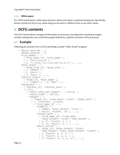#### <span id="page-5-0"></span>**1.2.6 White space**

Per JSON specifications, white space between tokens and values is optional and ignored. Specifically, parsers should not rely on any values being on the same or different lines as any other values.

# <span id="page-5-1"></span>**2 DCFG contents**

The DCFG format allows storage of information on processes, including their constituent images, symbols, debug data, and control-flow graph defined by a specific execution of the processes.

#### <span id="page-5-2"></span>**2.1 Example**

Following are excerpts from a DCFG describing a simple "Hello, World" program:

```
{ "MAJOR_VERSION" : 1,
 "MINOR VERSION" : 0,
  "FILE_NAMES" : [
    [ "FILE NAME ID", "FILE NAME" ],
     [ 1, "hello-world" ],
    [ 2, "\\[1b64]\/Id-linux-x86-64.so.2" ], ...], "EDGE_TYPES" : [
    [ "EDGE TYPE ID", "EDGE TYPE" ],
     [ 1, "ENTRY" ],
     [ 2, "EXIT" ],
    [3, "CALL" ], ...], "SPECIAL_NODES" : [
     [ "NODE_ID", "NODE_NAME" ],
    [ 1, "START" ], [ 2, "END" ] ],
  "PROCESSES" : [
     [ "PROCESS_ID", "PROCESS_DATA" ],
     [ 13723,
       { "INSTR_COUNT_PER_THREAD" : [ 1867502 ],
        "INSTR COUNT" : 1867502,
         "IMAGES" : [
           [ "IMAGE_ID", "LOAD_ADDR", "SIZE", "IMAGE_DATA" ],
          [ 1, "0x400000", 2112944,
             { "FILE_NAME_ID" : 1,
               "SYMBOLS" : [
                [ "NAME", "ADDR OFFSET", "SIZE" ],
                \left[ "main", "0xdd\overline{0}", 128 ], ...],
               "SOURCE_DATA" : [
                 [ "FILE_NAME_ID", "LINE_NUM",
                  "ADDR OFFSET", "SIZE", "NUM INSTRS" ],
                 [ 8, 25, "0xb28", 4, 1 ],
                [ 8, 26, '0xb2c', 5, 1 ], ...], "BASIC_BLOCKS" : [
                 [ "NODE_ID", "ADDR_OFFSET", "SIZE",
                  "NUM INSTRS", "LAST INSTR OFFSET", "COUNT" ],
                [4, "0xb28", 9, 2, 4, 1],[5, "0xb31", 5, 2, 4, 1],[6, "0xb40", 12, 2, 6, 10], ...],
```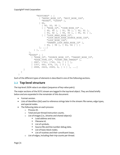```
 "ROUTINES" : [
                 [ "ENTRY_NODE_ID", "EXIT_NODE_IDS",
                  "NODES", "LOOPS" 1,
                 [ 90,
 [ 90, 93, 95 ],
                   [ [ "NODE_ID", "IDOM_NODE_ID" ],
                     [ 90, 90 ], [ 91, 90 ], [ 92, 91 ],
                    [ 93, 92 ], [ 94, 93 ], [ 95, 91 ] ],
                  [ [ "LOOP HEAD NODE ID",
                       "LOOP_BACK_EDGE_SOURCE_NODE_IDS",
                       "LOOP_NODE_IDS",
                      "PARENT_LOOP_HEAD_NODE_ID" ],
                     [ 93, [ 94 ], [ 93, 94 ] ] ]
                 ], ...]
             } ], ...]
         },
         "EDGES" : [
          [ "EDGE ID", "SOURCE NODE ID", "TARGET NODE ID",
            "EDGE<sup>TYPE</sup> ID", "COUNT PER THREAD" ],
           [ 2887, 1741, 1742, 16, [ 1 ] ],
           [ 1357, 665, 676, 13, [ 3 ] ],
          [2888, 2424, 2069, 6, [1] ], ...] ]
   ]
}
```
Each of the different types of elements is described in one of the following sections.

# <span id="page-6-0"></span>**2.2 Top-level structure**

The top-level JSON value is an object (sequence of key-value pairs).

The major sections of the DCFG stream are tagged in the top-level object. They are listed briefly below and are expanded in the remainder of this document:

- Format version.
- Lists of identifiers (ids) used to reference strings later in the stream: file names, edge types, and special nodes.
- The following data on each process:
	- o Process ID.
	- o Total and per-thread instruction counts.
	- o List of images (i.e., binaries and shared objects):
		- **Load address and size.**
		- **Filename id.**
		- **List of symbols.**
		- **Source-file and line-number debug data.**
		- **List of basic block nodes.**
		- **EXECUTE:** List of routines and their constituent loops.
	- o List of edges, including their trip-counts per thread.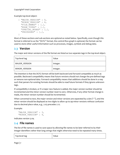#### Copyright® Intel Corporation

Example top-level object:

```
{ "MAJOR_VERSION" : 0,
 "MINOR VERSION" : 6,
  "FILE_NAMES" : […],
  "EDGE_TYPES" : […],
  "SPECIAL_NODES" : […],
   "PROCESSES" : […],
}
```
Most of these sections and sub-sections are optional as noted below. Specifically, even though this format is referred to as the "DCFG" format, the control-flow graph is optional; the format can be used to store other useful information such as processes, images, symbols and debug data.

# <span id="page-7-0"></span>**2.3 Version**

The major and minor versions of the file format are listed as two separate tags in the top-level object.

| Top-level tag        | Value    |
|----------------------|----------|
| <b>MAJOR VERSION</b> | Integer. |
| <b>MINOR VERSION</b> | Integer. |

The intention is that the DCFG format will be both backward and forward-compatible as much as possible. Backward compatibility means that future versions should not change the pre-defined tags or remove non-optional data. Forward compatibility means that additions should be done in a way such that parsers for existing formats should be able to read future formats if they ignore unknown tags.

If compatibility is broken, or if a major new feature is added, the major version number should be incremented and the minor version number reset to zero. Otherwise, if any other format change is made, the minor version number should be incremented.

When converted to text, the major version and minor versions are separated by a dot ("."), and the minor version should be displayed as two digits to allow up to 99 minor versions without confusion due to decimal place value, e.g., 2.03 precedes 2.12.

Example:

```
"MAJOR VERSION" : 3,
"MINOR VERSION" : 4,
```
Indicates version 3.04.

#### <span id="page-7-1"></span>**2.4 File names**

The list of file names is used to save space by allowing file names to be later referred to by their integer identifiers rather than long strings that might otherwise need to be repeated many times.

| Top-level tag | Value |
|---------------|-------|
|---------------|-------|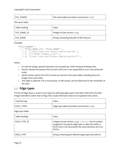| <b>FILE NAMES</b> | File-name table (see below and section 1.2.2). |
|-------------------|------------------------------------------------|

File-name table:

| Table heading | Value                                         |
|---------------|-----------------------------------------------|
| FILE NAME ID  | Integer id (see section 1.2.3).               |
| FILE NAME     | String containing full path of file if known. |

Example:

```
"FILE_NAMES" :
 [ [ "FILE NAME ID", "FILE NAME" ],
    [ 2, \sqrt[m]{\text{usr}}\sqrt{1}joe\sqrt{\text{src}}\sqrt{m}isc\sqrt{\text{hello-word}}d"],
    [5, "\\/lib64\\/libqcc s.so" ][4, \sqrt{\text{vsr}}/joe\sqrt{\text{src}}/misc\}/hello-word.d.c" ]]
```
Notes:

- o As with all strings, special characters are escaped per JSON string-formatting rules.
- o Parsers should not assume that ids start with one or are sequential or are in any particular order.
- o All file names used in the DCFG stream are stored in the same table, including those for images and source files.
- o This table is optional. If it is not present, no file names can be referenced in the remainder of the data.

# <span id="page-8-0"></span>**2.5 Edge types**

The list of edge types is used to save space by allowing edge types to be later referred to by their integer identifiers rather than strings that would otherwise need to be repeated many times.

| Top-level tag | Value                                          |
|---------------|------------------------------------------------|
| EDGE TYPES    | Edge-type table (see below and section 1.2.2). |

Edge-type table:

| Table heading | Value                                                                                                                                                                                |
|---------------|--------------------------------------------------------------------------------------------------------------------------------------------------------------------------------------|
| EDGE TYPE ID  | Integer id (see section 1.2.3). Important: the ID number<br>assigned to any given edge type is valid only within a<br>DCFG and is not necessarily the same between any two<br>DCFGs. |
| EDGE TYPE     | String containing pre-defined edge type (see below).                                                                                                                                 |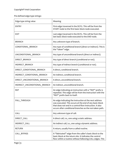Pre-defined edge-type strings:

| Edge-type string value        | Meaning                                                                                                                                                                                                                                   |
|-------------------------------|-------------------------------------------------------------------------------------------------------------------------------------------------------------------------------------------------------------------------------------------|
| <b>ENTRY</b>                  | First edge traversed in the DCFG. This will be from the<br>START node to the first basic block node executed.                                                                                                                             |
| <b>EXIT</b>                   | Last edge traversed in the DCFG. This will be from the<br>last basic block node executed to the END node.                                                                                                                                 |
| <b>BRANCH</b>                 | Any unknown type of branch.                                                                                                                                                                                                               |
| CONDITIONAL BRANCH            | Any type of conditional branch (direct or indirect). This is<br>the "taken" edge.                                                                                                                                                         |
| UNCONDITIONAL_BRANCH          | Any type of unconditional branch (direct or indirect).                                                                                                                                                                                    |
| DIRECT_BRANCH                 | Any type of direct branch (conditional or not).                                                                                                                                                                                           |
| INDIRECT_BRANCH               | Any type of indirect branch (conditional or not).                                                                                                                                                                                         |
| DIRECT CONDITIONAL BRANCH     | A direct, conditional branch.                                                                                                                                                                                                             |
| INDIRECT_CONDITIONAL_BRANCH   | An indirect, conditional branch.                                                                                                                                                                                                          |
| DIRECT_UNCONDITIONAL_BRANCH   | A direct, unconditional branch.                                                                                                                                                                                                           |
| INDIRECT_UNCONDITIONAL_BRANCH | An indirect, unconditional branch.                                                                                                                                                                                                        |
| <b>REP</b>                    | An edge indicating an instruction with a "REP" prefix is<br>repeated. This edge will be from the instruction with the<br>"REP" prefix back to itself.                                                                                     |
| FALL_THROUGH                  | An edge indicating the instruction at the next address<br>was executed. This occurs at the end of any basic block<br>that does not end in a control-flow instruction. It also<br>occurs after conditional branches as the not-taken path. |
| CALL                          | Any unknown type of call.                                                                                                                                                                                                                 |
| DIRECT CALL                   | A direct call, i.e., one using a static address.                                                                                                                                                                                          |
| INDIRECT_CALL                 | An indirect call, i.e., one using a dynamic address.                                                                                                                                                                                      |
| <b>RETURN</b>                 | A return, usually from a called routine.                                                                                                                                                                                                  |
| CALL_BYPASS                   | A "fabricated" edge from the caller's basic block to the<br>basic block at the return site. It indicates the control<br>flow within a routine without following CALL edges. This                                                          |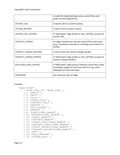|                       | is useful for implementing various control-flow and<br>graph-traversal algorithms.                                                              |
|-----------------------|-------------------------------------------------------------------------------------------------------------------------------------------------|
| SYSTEM CALL           | A special call to a system routine.                                                                                                             |
| SYSTEM RETURN         | A return from a system routine.                                                                                                                 |
| SYSTEM CALL BYPASS    | A "fabricated" edge similar to CALL_BYPASS, except for<br>system calls.                                                                         |
| <b>CONTEXT CHANGE</b> | An edge created from any non-control-flow instruction<br>(e.g., a hardware interrupt or a faulting instruction) to a<br>hander.                 |
| CONTEXT CHANGE RETURN | A return from the context-change handler.                                                                                                       |
| CONTEXT CHANGE BYPASS | A "fabricated" edge similar to CALL BYPASS, except for<br>context-change handlers.                                                              |
| EXCLUDED CODE BYPASS  | A "fabricated" edge used to maintain control flow when<br>excluding a region of code from the CFG, e.g., when<br>skipping over spin-wait loops. |
| <b>UNKNOWN</b>        | Any unknown type of edge.                                                                                                                       |

#### Example:

```
"EDGE_TYPES" :
  [ \lceil "EDGE TYPE ID", "EDGE TYPE" ],
    [1, "ENTRY"],
     [ 2, "EXIT" ],
     [ 3, "CALL" ],
    [ 4, "DIRECT CALL" ],
    [ 5, "INDIRECT CALL" ],
    \begin{bmatrix} 6, & \text{"RETURN"} \end{bmatrix}[ 7, "CALL BYPASS" ],
     [ 8, "BRANCH" ],
 [ 9, "CONDITIONAL_BRANCH" ],
[ 10, "UNCONDITIONAL BRANCH" ],
    [11, "DIFFCT BRANCH" ],
[ 12, "INDIRECT BRANCH" ],
[ 13, "DIRECT CONDITIONAL BRANCH" ],
    [ 14, "INDIRECT CONDITIONAL BRANCH" ],
    [ 15, "DIRECT_UNCONDITIONAL_BRANCH" ],
    [ 16, "INDIRECT UNCONDITIONAL BRANCH" ],
 [ 17, "REP" ],
[ 18, "FALL THROUGH" ],
    [ 19, "SYSTEM CALL" ],
```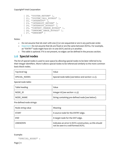```
[ 20, "SYSTEM RETURN" ],
[ 21, "SYSTEM CALL BYPASS" ],
\overline{22}, "INTERRUPT" ],
[ 23, "INTERRUPT RETURN" ],
[ 24, "INTERRUPT BYPASS" ],
[ 25, "CONTEXT CHANGE BYPASS" ],
[ 26, "UNKNOWN IMAGE BYPASS" ],
[27, "UNKNOWN" ]
```

```
Notes:
```
]

- $\circ$  Do not assume that ids start with one (1) or are sequential or are in any particular order.
- o *Important:* Do not assume that ids are fixed or are the same between DCFGs. For example, an "ENTRY" node might have id=1 in one DCFG and id=3 in another.
- o This table is optional. If it is not present, no edges can be defined in the process section.

# <span id="page-11-0"></span>**2.6 Special nodes**

The list of special nodes is used to save space by allowing special nodes to be later referred to by their integer identifiers. More it allows special nodes to be referenced similarly to the more common basic-block nodes.

| Top-level tag | Value                                             |
|---------------|---------------------------------------------------|
| SPECIAL NODES | Special-node table (see below and section 1.2.2). |

Special-node table:

| Table heading | Value                                           |
|---------------|-------------------------------------------------|
| NODE ID       | Integer id (see section 1.2.3).                 |
| NODE NAME     | String containing pre-defined node (see below). |

Pre-defined node strings:

| Node string value | Meaning                                                                                       |
|-------------------|-----------------------------------------------------------------------------------------------|
| <b>START</b>      | A source node for the ENTRY edge.                                                             |
| <b>END</b>        | A target node for the EXIT edge.                                                              |
| <b>UNKNOWN</b>    | Indicates an error in DCFG construction, so this should<br>not be seen in a well-formed DCFG. |

#### Example:

"SPECIAL\_NODES" :

Page | 11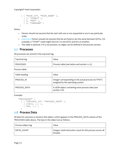```
[ [ "NODE ID", "NODE NAME" ],
      [ 1, "START" ],
     \left[\begin{array}{cc} 2, & \text{"END"} \end{array}\right],
      [ 3, "UNKNOWN" ]
]
```
Notes:

- o Parsers should not assume that ids start with one or are sequential or are in any particular order.
- o *Important:* Parsers should not assume that ids are fixed or are the same between DCFGs. For example, a "START" node might have id=1 in one DCFG and id=3 in another.
- o This table is optional. If it is not present, no edges can be defined in the process section.

# <span id="page-12-0"></span>**2.7 Processes**

All processes are stored in this top-level tag.

| Top-level tag    | Value                                        |
|------------------|----------------------------------------------|
| <b>PROCESSES</b> | Process table (see below and section 1.2.2). |

Process table:

| Table heading | Value                                                                                       |
|---------------|---------------------------------------------------------------------------------------------|
| PROCESS ID    | Integer corresponding to the actual process id ("PID")<br>assigned by the operating system. |
| PROCESS DATA  | A JSON object containing more process data (see<br>section 2.8).                            |

Example:

```
"PROCESSES" :
   [ [ "PROCESS_ID", "PROCESS_DATA" ],
     [ 22814, {…} ],
     [ 958, {…} ]
   ]
```
#### <span id="page-12-1"></span>**2.8 Process Data**

All data for a process is stored in this object, which appears in the PROCESS\_DATA column of the PROCESSES table above. The keys in the object are as follows.

| Process-object tag | Value                                                                    |
|--------------------|--------------------------------------------------------------------------|
| INSTR COUNT        | Integer: total instruction count for this process across all<br>threads. |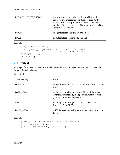| INSTR COUNT PER THREAD | Array of integers: each integer is a total instruction<br>count for this process for one thread, starting with<br>thread zero. The length of this array indicates the<br>number of threads executed. The sum should equal the<br>value in INSTR COUNT. |
|------------------------|--------------------------------------------------------------------------------------------------------------------------------------------------------------------------------------------------------------------------------------------------------|
| <b>IMAGES</b>          | Image table (see sections 2.9 and 1.2.2).                                                                                                                                                                                                              |
| <b>EDGES</b>           | Edge table (see sections 2.16 and 1.2.2).                                                                                                                                                                                                              |

Example:

```
{ "INSTR_COUNT" : 2134576,
  "INSTR_COUNT_PER_THREAD" : [ 1997750, 51676, 19794,
                                18381, 19598, 27377 ],
   "IMAGES" : […],
   "EDGES" : […]
}
```
#### <span id="page-13-0"></span>**2.9 Images**

All images for a given process are stored in this table, which appears after the IMAGES key in the process data object above.

Image table:

| Table heading | Value                                                                                                                                                 |
|---------------|-------------------------------------------------------------------------------------------------------------------------------------------------------|
| IMAGE ID      | Integer id (see section 1.2.3). Unlike most IDs this can be<br>zero.                                                                                  |
| LOAD ADDR     | An integer containing the base address of the image<br>where it was loaded by the operating system. It will be<br>32 or 64 bits, depending on the OS. |
| <b>SIZE</b>   | An integer containing the size of the image, starting<br>from the LOAD ADDR.                                                                          |
| IMAGE DATA    | A JSON object containing more image data (see section<br>$2.10$ ).                                                                                    |

Example:

```
[ [ "IMAGE_ID", "LOAD_ADDR", "SIZE", "IMAGE_DATA" ],
 [1, "0x400000", 2102216, ...][ 2, "0x2aaaaaaab000", 1166728, {...} ]
]
```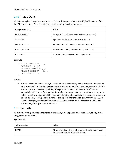# <span id="page-14-0"></span>**2.10 Image Data**

All data for a given image is stored in this object, which appears in the IMAGE\_DATA column of the IMAGES table above. The keys in the object are as follows. All are optional.

| Image-object tag    | Value                                              |
|---------------------|----------------------------------------------------|
| FILE NAME ID        | Integer id from file-name table (see section 2.4). |
| <b>SYMBOLS</b>      | Symbol table (see sections 2.11 and 1.2.2).        |
| SOURCE DATA         | Source-data table (see sections 2.12 and 1.2.2).   |
| <b>BASIC BLOCKS</b> | Basic-block table (see sections 2.13 and 1.2.2).   |
| <b>ROUTINES</b>     | Routine table (see sections 2.14 and 1.2.2).       |

Example:

```
{ "FILE_NAME_ID" : 4,
  "SYMBOLS" : […],
  "SOURCE_DATA" : […],
  "BASIC_BLOCKS" : […],
  "ROUTINES" : […]
}
```
Notes:

o During the course of execution, it is possible for a dynamically-linked process to unload one image and load another image such that the address spaces for these images overlap. In this situation, the addresses of symbols, debug data and basic blocks are not sufficient to uniquely identify them. Fortunately, at any given temporal point in a workload execution the subset of *active* images should have non-overlapping address regions, allowing an address to unambiguously correspond to a symbol, debug data and/or basic block. Unfortunately, if a workload employs self-modifying-code (SMC) or any other mechanism that modifies the code space, this might also be violated.

# <span id="page-14-1"></span>**2.11 Symbols**

All symbols for a given image are stored in this table, which appears after the SYMBOLS key in the image data object above.

Symbol table:

| Table heading | Value                                                                                        |
|---------------|----------------------------------------------------------------------------------------------|
| NAMF          | String containing the symbol name. Special chars must<br>be escaped per JSON specifications. |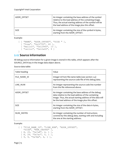| ADDR OFFSET | An integer containing the base address of the symbol<br>relative to the load address of the containing image.<br>Thus, the actual starting address of the symbol will be<br>the load address of the image plus this offset. |
|-------------|-----------------------------------------------------------------------------------------------------------------------------------------------------------------------------------------------------------------------------|
| <b>SIZE</b> | An integer containing the size of the symbol in bytes,<br>starting from the ADDR OFFSET.                                                                                                                                    |

Example:

```
[ [ "NAME", "ADDR_OFFSET", "SIZE " ],
 [ "free", "0x127f0", 60 ],
 [ "malloc", "0x12940", 13 ],
 [ "calloc", "0x12a00", 9 ]
]
```
# <span id="page-15-0"></span>**2.12 Source information**

All debug source information for a given image is stored in this table, which appears after the SOURCE\_DATA key in the image data object above.

Source-data table:

| Table heading | Value                                                                                                                                                                                                                         |
|---------------|-------------------------------------------------------------------------------------------------------------------------------------------------------------------------------------------------------------------------------|
| FILE NAME ID  | Integer id from file-name table (see section 2.4)<br>representing the source-code file of this debug data.                                                                                                                    |
| LINE NUM      | An integer representing the source-code line number<br>from the file referenced above.                                                                                                                                        |
| ADDR OFFSET   | An integer containing the base address of the debug<br>data relative to the load address of the containing<br>image. Thus, the actual starting address of the data will<br>be the load address of the image plus this offset. |
| <b>SIZE</b>   | An integer containing the size of the data in bytes,<br>starting from the ADDR OFFSET.                                                                                                                                        |
| NUM INSTRS    | An integer containing the number of instructions<br>covered by this debug data, starting with and including<br>the one at the starting address.                                                                               |

Example:

```
[ [ "FILE NAME ID", "LINE NUM", "ADDR OFFSET",
   "SIZE", "NUM INSTRS" \overline{J},
[ 8, 25, "0x7a8", 4, 1 ],[ 8, 26, "0x7ac", 5, 1 ],
   [ 9, 9, "0x7bb", 4, 1 ],
```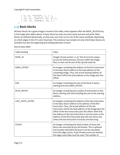Copyright® Intel Corporation

```
 [ 9, 10, "0x7bf", 1, 1 ],
 [ 10, 11, "0x970", 43, 10 ],
 [10, 12, "0x99b", 10, 2]]
```
# <span id="page-16-0"></span>**2.13 Basic blocks**

All basic blocks for a given image is stored in this table, which appears after the BASIC\_BLOCKS key in the image data object above. A basic block has only one entry point and one exit point. Basic blocks are defined dynamically, so they may vary from run-to-run of the same workload, depending on which edges in the CFG were traversed. This variance may include not only which basic blocks are included, but also the beginning and ending addresses of each.

Source-data table:

| Table heading     | Value                                                                                                                                                                                                                                                                                                                                                                                                                                                                                     |
|-------------------|-------------------------------------------------------------------------------------------------------------------------------------------------------------------------------------------------------------------------------------------------------------------------------------------------------------------------------------------------------------------------------------------------------------------------------------------------------------------------------------------|
| NODE ID           | Integer id (see section 1.2.3). This id must be unique<br>across the entire process, not just within the image.<br>Also, it must not be one of the special node ids.                                                                                                                                                                                                                                                                                                                      |
| ADDR OFFSET       | An integer containing the address of the first instruction<br>in the basic block relative to the load address of the<br>containing image. Thus, the actual starting address of<br>the block will be the load address of the image plus this<br>offset.                                                                                                                                                                                                                                    |
| <b>SIZE</b>       | An integer containing the size of the block in bytes,<br>starting from the ADDR OFFSET.                                                                                                                                                                                                                                                                                                                                                                                                   |
| NUM INSTRS        | An integer containing the number of instructions in this<br>block, starting with and including the one at the starting<br>address.                                                                                                                                                                                                                                                                                                                                                        |
| LAST INSTR OFFSET | An integer containing the address of the last instruction<br>in the basic block relative to the address of the first<br>instruction. Thus, the actual address of the last<br>instruction will be the load address of the image plus the<br>offset of the first instruction plus this offset. Note that<br>the address of the last instruction is not the same as the<br>address of the first instruction plus the size minus one<br>unless the last instruction is exactly one byte long. |
| <b>COUNT</b>      | An integer containing the total number of times this<br>block was executed across all threads. This is optional<br>and actually redundant because it can be calculated<br>from the edge counts. If per-thread counts are desired,<br>the edge-count data must be used. The number of                                                                                                                                                                                                      |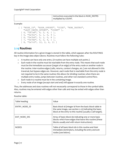| instructions executed in the block is NUM INSTRS |
|--------------------------------------------------|
| multiplied by COUNT.                             |

Example:

```
[ [ "NODE ID", "ADDR OFFSET", "SIZE", "NUM INSTRS",
    "LAST INSTR OFFSET", "COUNT" ],
  [4, "0x7a8", 9, 2, 4, 1], [ 5, "0x7b1", 5, 1, 0, 9 ],
  [ 6, "0x7b6", 5, 1, 0, 8 ],
  [7, "0x7bb", 5, 2, 4, 1],[ 8, '0x7c0'', 12, 2, 6, 11 ]]
```
#### <span id="page-17-0"></span>**2.14 Routines**

All routine information for a given image is stored in this table, which appears after the ROUTINES key in the image data object above. Routines must follow the following rules:

- o A routine can have only one entry. (A routine can have multiple exit points.)
- $\circ$  Each node in the routine must be reachable from the entry node. This means that each node must be the immediate successor (target of an edge) of the entry node or another node in the routine. Inter-routine edges (calls, returns, context changes, etc.) are not allowed in this traversal, but bypass edges are. However, each node that is reachable from the entry node is not required to be in the same routine; this allows for dividing routines when there are multiple entry nodes, jumps between routines, and other non-standard control flow.
- o Each node in a routine must be in the containing image.
- o Every node of an image (except start and end) will appear in exactly one routine.

Thus, the addresses and sizes routines will not necessarily correspond to those in the symbol table. Also, routines may be entered with edges other than calls and may be exited with edges other than returns.

Routine table:

| Table heading | Value                                                                                                                                                                              |
|---------------|------------------------------------------------------------------------------------------------------------------------------------------------------------------------------------|
| ENTRY NODE ID | Basic-block id (integer id from the basic-block table in<br>the same image, see section 2.13) indicating the basic-<br>block at the entry to this routine (usually a call target). |
| EXIT NODE IDS | Array of basic-block ids indicating one or more basic<br>blocks which have edges that leave this routine (these<br>blocks usually end with return instructions).                   |
| <b>NODES</b>  | Table of all basic-block ids in this routine and their<br>immediate dominators, including the entry and exit<br>nodes (see below).                                                 |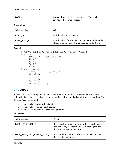| LOOPS | $\vert$ Loop table (see sections 2.15 and 1.2.2). This can be<br>omitted if there are no loops. |
|-------|-------------------------------------------------------------------------------------------------|
|       |                                                                                                 |

Node table:

| Table heading | Value                                                                                                            |
|---------------|------------------------------------------------------------------------------------------------------------------|
| NODE ID       | Basic-block id in this routine.                                                                                  |
| IDOM NODE ID  | Basic-block id of the immediate dominator of this node.<br>This information is used in various graph algorithms. |

Example:

```
[ [ "ENTRY_NODE_ID", "EXIT_NODE_IDS", "NODES", "LOOPS" ],
   [ 4, [ 4, 5, 6, 7 ],
     [ [ "NODE_ID", "IDOM_NODE_ID" ],
      [4, 4],[5, 4], [ 6, 5 ],
       [ 7, 6 ] ] ],
 [ 63, [ 65, 67 ],
 [ [ "NODE_ID", "IDOM_NODE_ID" ],
       [ 66, 65 ],
       [ 67, 63 ],
       [ 63, 63 ],
       [ 64, 63 ],
       [ 65, 64 ] ], […]
]
```
#### <span id="page-18-0"></span>**2.15 Loops**

All loop information for a given routine is stored in this table, which appears under the LOOPS column in the routine table above. Loops are defined with a standard graph-traversal algorithm. The following constraints apply:

- o A loop can have only one head node.
- o A loop can have multiple back-edges.
- o All nodes in a loop are in the containing routine.

Loop table:

| Table heading                  | Value                                                                                                                                                  |
|--------------------------------|--------------------------------------------------------------------------------------------------------------------------------------------------------|
| LOOP HEAD NODE ID              | Basic-block id (integer id from the basic-block table in<br>the same image, see section 2.13) indicating the basic-<br>block at the head of this loop. |
| LOOP BACK EDGE SOURCE NODE IDS | Basic-block ids of the node(s) that contain branches<br>back to the loop head.                                                                         |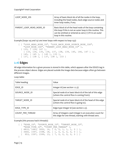| LOOP NODE IDS            | Array of basic-block ids of all the nodes in the loop,<br>including the head nodes, back-edge source nodes and<br>inner loop nodes, if any.                                                                  |
|--------------------------|--------------------------------------------------------------------------------------------------------------------------------------------------------------------------------------------------------------|
| PARENT LOOP HEAD NODE ID | Basic-block id of the head node of the loop containing<br>this loop if this is not an outer loop in this routine. This<br>can be omitted or entered as zero $(0)$ if it is an outer<br>loop in this routine. |

Example (loops 145 and 137 are inner loops with respect to loop 133):

```
[ [ "LOOP HEAD NODE ID", "LOOP BACK EDGE SOURCE NODE IDS",
    "LOOP_NODE_IDS", "PARENT_LOOP_HEAD_NODE_ID"],
   [ 133, [ 139, 147 ],
     [ 133, 134, 135, 136, 137, 138, 139, 145, 146, 147 ] ],
   [ 145, [ 145 ], [ 145 ], 133 ],
   [ 137, [ 138 ], [ 137, 138 ], 133 ]
]
```
#### <span id="page-19-0"></span>**2.16 Edges**

All edge information for a given process is stored in this table, which appears after the EDGES tag in the process object above. Edges are placed outside the image data because edges often go between different images.

Loop table:

| Table heading    | Value                                                                                                             |
|------------------|-------------------------------------------------------------------------------------------------------------------|
| EDGE ID          | Integer id (see section 1.2.3).                                                                                   |
| SOURCE NODE ID   | Special node id or basic-block id of the tail of this edge<br>(where the control flow is coming from).            |
| TARGET NODE ID   | Special node id or basic-block id of the head of this edge<br>(where the control flow is going to).               |
| EDGE TYPE ID     | Edge-type integer id (see section 2.5).                                                                           |
| COUNT PER THREAD | Array of integers: each integer is an execution count for<br>this edge for one thread, starting with thread zero. |

Example (this process had 6 threads):

```
[ [ "EDGE_ID", "SOURCE_NODE_ID", "TARGET_NODE_ID", 
     "EDGE_TYPE_ID", "COUNT_PER_THREAD" ],
   [ 4810, 1683, 3002, 16, [ 0, 0, 1, 1, 1, 0 ] ],
   [ 3460, 1597, 1598, 18, [ 1, 0, 0, 0, 0, 0 ] ],
  \begin{bmatrix} 953, 1597, 1599, 13, [7, 0, 0, 0, 0, 0] \end{bmatrix}]
```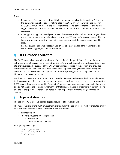Notes:

- Bypass-type edges may exist without their corresponding call and return edges. This will be the case when the called code is not included in the CFG. This will always be the case for EXCLUDED\_CODE\_BYPASS. In the case where there are no corresponding call and return edges, the counts of the bypass edges should be set to indicate the number of times the call was taken.
- More typically, bypass-type edges exist with their corresponding call and return edges. This is the normal case where the call and return are in the CFG, and the bypass edges are added to indicate intra-routine control flow. In this case, the counts of the bypass edges should be zero.
- It is also possible to have a subset of a given call to be counted and the remainder to be counted in its bypass, but this is uncommon.

# <span id="page-20-0"></span>**3 DCFG-trace contents**

The DCFG format above contains total counts for all edges in the graph, but it does not indicate sufficient information required to reconstruct the *order* in which edges, basic-blocks, routines, loops, etc. are traversed. The purpose of the DCFG-trace format described in this section is to provide a specification to efficiently and effectively encode the sequence of edge-ids traversed during the execution. Given the sequence of edge-ids and the corresponding DCFG, the sequence of basicblocks, etc. can be reconstructed.

For the DCFG stream described in section [2,](#page-5-1) the order of entries in objects and columns and rows in tables was not specified, and parsers should not expect or rely on any particular order. However, the DCFG-trace is designed to be read by "streaming" parsers that make one pass from beginning to end and do not keep all the contents in memory. For that reason, the order of contents in certain objects and tables are specified. These will be noted in their respective sections in paragraphs labeled "*Ordering*."

# <span id="page-20-1"></span>**3.1 Top-level structure**

The top-level DCFG-trace value is an object (sequence of key-value pairs).

The major sections of the DCFG-trace stream are tagged in the top-level object. They are listed briefly below and are expanded in the remainder of this document:

- Format version.
- The following data on each process:
	- o Process ID.
	- o Trace data for each thread.

Example top-level object:

```
{ "MAJOR_VERSION" : 1,
 "MINOR VERSION" : 0,
   "PROCESSES" : […]
}
```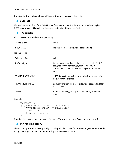Copyright® Intel Corporation

*Ordering:* for the top-level object, all these entries must appear in this order.

## <span id="page-21-0"></span>**3.2 Version**

Identical format to that of the DCFG format (see sectio[n 2.3\)](#page-7-0). A DCFG stream paired with a given DCFG-trace stream will usually be the same version, but it is not required.

## <span id="page-21-1"></span>**3.3 Processes**

All processes are stored in this top-level tag.

| Top-level tag    | Value                                        |
|------------------|----------------------------------------------|
| <b>PROCESSES</b> | Process table (see below and section 1.2.2). |

Process table:

| Table heading           | Value                                                                                                                                                                    |
|-------------------------|--------------------------------------------------------------------------------------------------------------------------------------------------------------------------|
| PROCESS ID              | Integer corresponding to the actual process id ("PID")<br>assigned by the operating system. This should<br>correspond to a PID in the matching DCFG, if there is<br>one. |
| STRING DICTIONARY       | A JSON object containing string-substitution values (see<br>below) for this process.                                                                                     |
| <b>TRANSITION TABLE</b> | Edge-id transition table (see below and section 1.2.2) for<br>this process.                                                                                              |
| THREAD DATA             | A table containing more per-thread data (see section<br>3.4).                                                                                                            |

Example:

```
"PROCESSES" :
   [ [ "PROCESS_ID", "STRING_DICTIONARY", 
       "TRANSITION_TABLE", "THREAD_DATA" ],
     [ 22814, {…}, […], […] ],
     [ 958, {…}, […], […] ]
   ]
```
*Ordering:* the columns must appear in this order. The processes (rows) can appear in any order.

# <span id="page-21-2"></span>**3.4 String dictionary**

This dictionary is used to save space by providing a look-up table for repeated edge-id sequence substrings that appear in one or more following processes and threads.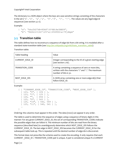The dictionary is a JSON object where the keys are case-sensitive strings consisting of the characters in the set {'A'…'Z', 'a'…'z', '0'…'9', '+', '-'}. The values are any legal edge-id sequences (see sectio[n 3.7.1\)](#page-25-0).

Example:

```
{ "a": "bks2hD7kB+KDk87(6*AB)Aw3ABD9",
   "b": "KkDk123(42*(25*a))45690D<a>7Fjdkpm"
}
```
# <span id="page-22-0"></span>**3.5 Transition table**

This table defines how to reconstruct a sequence of edge-ids from a bit string. It is modeled after a standard state-transition table (see [http://en.wikipedia.org/wiki/State\\_transition\\_table\)](http://en.wikipedia.org/wiki/State_transition_table).

Transition table:

| Table heading          | Value                                                                                                                                 |
|------------------------|---------------------------------------------------------------------------------------------------------------------------------------|
| <b>CURRENT EDGE ID</b> | Integer corresponding to the ID of a given starting edge<br>(see section 2.16).                                                       |
| TRANSITION CODE        | A string containing a sequence of zero or more bits,<br>written with the characters '0' and '1'. The maximum<br>number of bits is 32. |
| NEXT EDGE IDS          | A JSON array containing one or more edge-id(s) that<br>follow EDGE ID.                                                                |

Example:

```
[ \lceil "CURRENT EDGE ID", "TRANSITION CODE", "NEXT EDGE IDS" ],
   [ 123, "0", [ 124 ] ],
   [ 123, "1", [ 125 ] ],
  [ 124, "", [ 456 ] ],
   [ 125, "0", [ 543 ] ],
   [ 125, "10", [ 542, 549 ] ],
   [ 125, "11", [ 540, 541 ] ],
  …
]
```
*Ordering:* the columns must appear in this order. The data (rows) can appear in any order.

The table is used to determine the sequence of edges using a sequence of binary digits in this manner: For any given CURRENT\_EDGE\_ID, the set of corresponding TRANSITION\_CODEs indicate the possible edges that can follow it. The minimum number of bits are read from the binary sequence (described later) to unambiguously determine which NEXT\_EDGE\_IDS follows the CURRENT\_EDGE\_ID. The last edge in NEXT\_EDGE\_IDS becomes the CURRENT\_EDGE\_ID for the subsequent table look-up. This is repeated until the desired number of edge-ids is discovered.

This format does not prescribe the scheme used to create the encoding. It only requires that each CURRENT \_EDGE\_ID + TRANSITION\_CODE pair is unique. A pair is considered unique if a CURRENT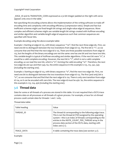Copyright® Intel Corporation

\_EDGE\_ID and its TRANSITION\_CODE expressed as a 32-bit integer padded on the right with zeros appears only once in the table.

Not specifying the encoding scheme allows the implementation of the writing software to trade off encoding time and complexity with encoding efficiency (compression ratio). Simple and fast but inefficient schemes might use fixed-length bit strings and single-value edge-id sequences. More complex and efficient schemes might use variable-length bit strings created with Huffman encoding and similar algorithm and variable-length edge-id sequences such that common sequences are specified with fewer bits.

Example decoding using the above example table:

Example 1: Starting at edge-id 123, with binary sequence: "110", find the next three edge-ids. First, we need one bit to distinguish between the two transitions from edge-id 123. The first bit is "1", so we consume that and find that the next edge-id is 125. There are three possible transitions from edge-id 125, but the lengths of the binary encodings are not the same: one has one bit and two have two bits. This variable-length is typical of Huffman encoding and similar algorithms. If the next bit were "0", it would be a valid complete encoding. However, the next bit is "1", which is not a valid complete encoding, so we read the next bit, which is "0", forming the valid encoding "10". Therefore, the next two edge-ids are 542 and then 549. So, the entire sequence in this example is 123, 125, 542, 549 (including the starting one).

Example 2: Starting at edge-id 123, with binary sequence: "0", find the next two edge-ids. First, we need one bit to distinguish between the two transitions from edge-id 123. The first (and only) bit is "0", so we consume that and find that the next edge-id is 124. There is only one transition from edgeid 124, so it can be encoded with zero bits. The next edge-id must be 456. So, the entire sequence in this example is 123, 124, 456 (including the starting one).

# <span id="page-23-0"></span>**3.6 Thread data**

Data for some or all threads of a process are stored in this table. It is not required that a DCFG-trace contains data on all processes or all threads of a given process. For example, a trace for a 6-thread process could contain data for threads 0 and 2 only.

| Table heading | Value                                                                                                                                                                                                                                                                                                                  |
|---------------|------------------------------------------------------------------------------------------------------------------------------------------------------------------------------------------------------------------------------------------------------------------------------------------------------------------------|
| THREAD ID     | The thread id corresponding to the following edge trace.<br>This is not the thread-id (TID) assigned by the operating<br>system---this is an index of threads corresponding to the<br>entries in the INSTR COUNT PER THREAD array in the<br>process data section of the DCFG data, starting with<br>index zero $(0)$ . |
| TRACE DATA    | A table containing the trace data (see section 3.7).                                                                                                                                                                                                                                                                   |

Thread-data table:

Example: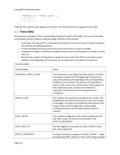Copyright® Intel Corporation

```
[ ["THREAD_ID", "TRACE_DATA" ],
  [ 0, […] ],
 [2, [...]],
]
```
*Ordering:* the columns must appear in this order. The threads (rows) can appear in any order.

# <span id="page-24-0"></span>**3.7 Trace data**

The sequence of edges for the corresponding thread are stored in this table. The rows of the table are temporal chunks of data of arbitrary length. Benefits of this format:

- o A tool may "fast-forward" to a desired chunk based on instruction counts without having to fully decode preceding sequences.
- o A multi-threaded tool may process more than one thread or chunk in parallel.
- o A sequence of edges is sufficient to enable reconstruction of the sequence of nodes, routine calls, etc.
- o Because the number of instructions is given for each node in the DCFG, instruction-counts relative to the beginning of the process can be calculated at any point in a sequence.

Trace-data table:

| Table heading         | Value                                                                                                                                                                                                                                                                                                                                                                                                                   |
|-----------------------|-------------------------------------------------------------------------------------------------------------------------------------------------------------------------------------------------------------------------------------------------------------------------------------------------------------------------------------------------------------------------------------------------------------------------|
| PRECEDING_INSTR_COUNT | The instruction count before the first node in a chunk is<br>executed, counted from the beginning of the process<br>only on the thread corresponding to the corresponding<br>THREAD ID from above. The first one will typically be<br>zero $(0)$ , but a trace can contain one or more subsets of<br>the overall execution. Chunks must listed be in<br>execution order, but they are not required to be<br>contiguous. |
| INSTR COUNT           | The number of instructions executed in this chunk. This<br>is defined as the sum of instructions in the source nodes<br>of all edges, so it does not include the instructions in the<br>target node of the last edge (this avoids double-<br>counting instruction in the nodes that join pairs of<br>chunks).                                                                                                           |
| EDGE COUNT            | The number of edge-ids in the chunk, including one for<br>the FIRST EDGE_ID and the rest encoded in the<br>EDGE_ID_SEQUENCE.                                                                                                                                                                                                                                                                                            |
| FIRST_EDGE_ID         | The first edge-id in the chunk (if EDGE_COUNT is zero,<br>this value is ignored).                                                                                                                                                                                                                                                                                                                                       |
| EDGE_ID_SEQUENCE      | A string containing a sequence of EDGE COUNT-1 edge-<br>ids following FIRST EDGE ID. This is a bit string encoded                                                                                                                                                                                                                                                                                                       |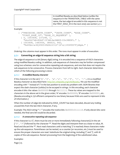| in modified Base64 as described below (unlike the      |
|--------------------------------------------------------|
| sequence in the TRANSITION TABLE with the same         |
| name, the last edge-id encoded in this sequence is not |
| the FIRST EDGE ID in the next one); see section 3.7.1. |

Example:

```
[ ["PRECEDING_INSTR_COUNT", "INSTR_COUNT", "EDGE_COUNT",
  "FIRST EDGE ID", "EDGE ID SEQUENCE" ],
   [ 0, 1003408, 237298, 1,
     "bks2hD7kB+KDk87(9*AB)Aw3ABD9-03n38KDFi…" ],
   [ 1003408, 1483936, 386610, 842,
     "Ks83bn<a>BjS920+KkDk123(2*(6*a))45690D7Fjdkpm…" ]
]
```
*Ordering:* the columns must appear in this order. The rows must appear in order of execution.

#### <span id="page-25-0"></span>**3.7.1 Converting an edge-id sequence string into a bit string**

The edge-id sequence is a bit (binary digit) string. It is encoded into a sequence of ASCII characters using modified Base64 coding. In addition, sub-sequences of characters may be further compressed using two schemes: one for consecutive repeating sub-sequences, and one that does not require the sub-sequences to be consecutive. Process characters from left to right. Each character determines which of the following processing is done:

#### *3.7.1.1 A modified Base64 character*

If the character is in the set  ${Y_A'_{...'}Z'$ , 'a'…'z', '0'…'9', '+', '-'}, it is a modified Base64 character as described here[: http://en.wikipedia.org/wiki/Base64.](http://en.wikipedia.org/wiki/Base64) We use the modified encoding with '-' instead of '/' in the last position to avoid any problem with JSON libraries that expect the slash character (solidus) to be escaped in strings. In this encoding, each character encodes 6 bits: the values 0b000000 through 0b111111. These 64 values are mapped to the characters in the above set in the given order; 'A' encodes 0b000000, 'B' encodes 0b000001, etc. (Base64 encoding is 75% efficient compared to raw binary because 8 bits are used to represent 6 bits of information.)

When the number of edge-ids indicated by EDGE\_COUNT has been decoded, discard any trailing unused bits from the last ASCII character, if any.

Example: The ASCII string "C+" encodes the twelve bits 0b000010111110. If only eleven bits were needed, the final zero bit would be discarded.

#### *3.7.1.2 A consecutive repeating sub-sequence*

If the character is a '', there must be one or more immediately following character(s) in the set  $\{0, 1, 2, 3, 4\}$  followed by the character '\*'. Read the digits and interpret them as a base-10 value, M. Read and discard the '\*'. Next read characters until a matching ')' is reached; these characters make up the sub-sequence. Parentheses can be nested, so a counter (or recursion, etc.) must be used to ensure the proper characters are read. Substitute the original string, including '(' and ')', with M copies of the sub-sequence. Restart processing from the beginning of the substituted value.

Examples:

Page | 25